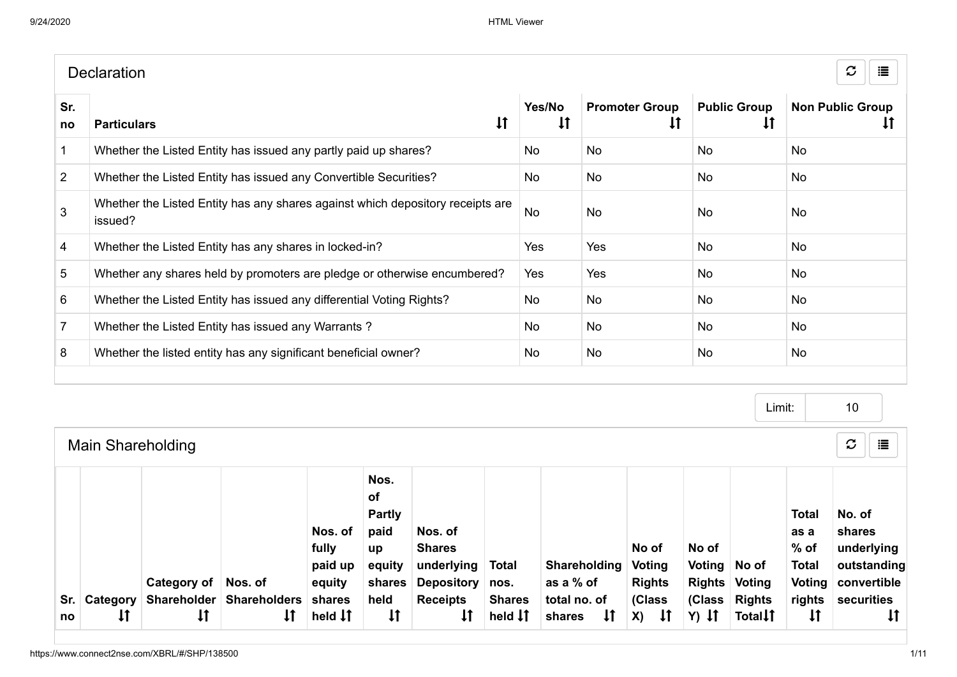|                | <b>Declaration</b>                                                                        |                        |                                             |                                       | $\mathcal{C}$<br>這            |
|----------------|-------------------------------------------------------------------------------------------|------------------------|---------------------------------------------|---------------------------------------|-------------------------------|
| Sr.<br>no      | $\downarrow$<br><b>Particulars</b>                                                        | Yes/No<br>$\downarrow$ | <b>Promoter Group</b><br>$\pmb{\downarrow}$ | <b>Public Group</b><br>$\downarrow$ T | <b>Non Public Group</b><br>ΨI |
| $\mathbf 1$    | Whether the Listed Entity has issued any partly paid up shares?                           | No                     | <b>No</b>                                   | No.                                   | <b>No</b>                     |
| $\overline{2}$ | Whether the Listed Entity has issued any Convertible Securities?                          | No.                    | <b>No</b>                                   | No                                    | <b>No</b>                     |
| 3              | Whether the Listed Entity has any shares against which depository receipts are<br>issued? | <b>No</b>              | <b>No</b>                                   | No                                    | No                            |
| 4              | Whether the Listed Entity has any shares in locked-in?                                    | Yes                    | <b>Yes</b>                                  | No                                    | <b>No</b>                     |
| 5              | Whether any shares held by promoters are pledge or otherwise encumbered?                  | Yes                    | <b>Yes</b>                                  | <b>No</b>                             | <b>No</b>                     |
| 6              | Whether the Listed Entity has issued any differential Voting Rights?                      | No                     | <b>No</b>                                   | No                                    | <b>No</b>                     |
|                | Whether the Listed Entity has issued any Warrants?                                        | No                     | <b>No</b>                                   | No.                                   | <b>No</b>                     |
| 8              | Whether the listed entity has any significant beneficial owner?                           | No.                    | <b>No</b>                                   | No.                                   | <b>No</b>                     |
|                |                                                                                           |                        |                                             |                                       |                               |

Main Shareholding Limit:  $\sigma \parallel \equiv$ Sr. | Category | Shareholder | Shareholders no  $\mathbf{1}$ Category of Nos. of  $\downarrow$  $\downarrow$ Nos. of fully paid up equity shares held **IT** Nos. of Partly paid up equity shares held  $\downarrow$ Nos. of Shares underlying Total Depository nos. Receipts  $\downarrow$ Shares held  $\downarrow \uparrow$ Shareholding Voting as a % of total no. of shares 11 No of Rights (Class  $X$ )  $\downarrow$   $\uparrow$ No of Voting No of Rights Voting (Class Rights  $Y)$  It Total<sup>1</sup> Total as a % of Total Voting convertible rights securities  $\downarrow$ No. of shares underlying outstanding  $\downarrow$ 10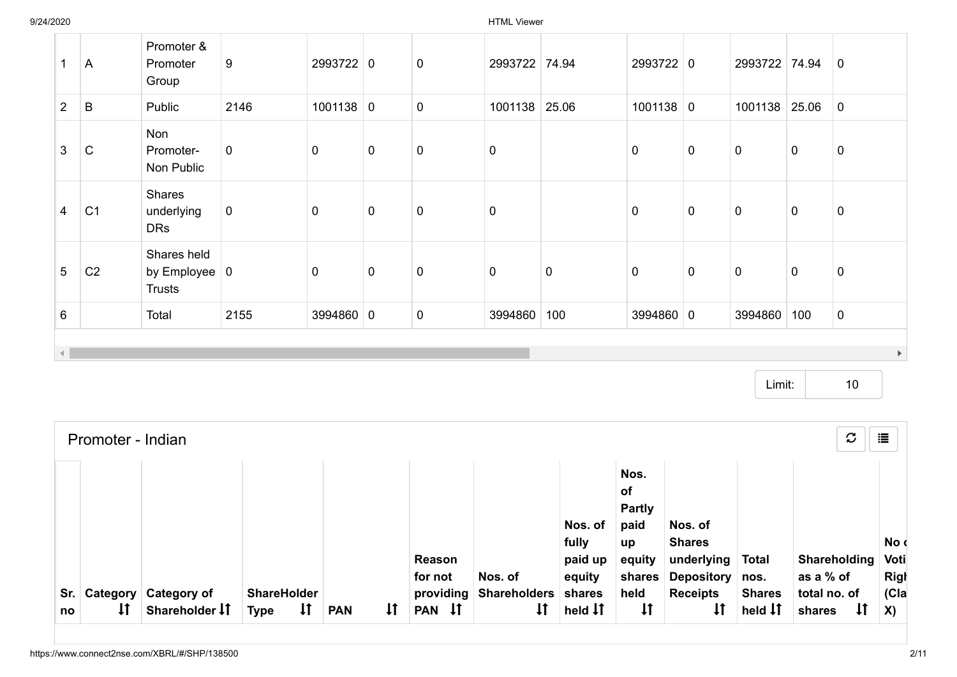9/24/2020 HTML Viewer

| 1                      | A              | Promoter &<br>Promoter<br>Group                             | 9           | 2993722 0   |             | $\mathbf 0$ | 2993722 74.94 |           | 2993722 0   |             | 2993722 74.94 |             | $\mathbf 0$           |
|------------------------|----------------|-------------------------------------------------------------|-------------|-------------|-------------|-------------|---------------|-----------|-------------|-------------|---------------|-------------|-----------------------|
| $2^{\circ}$            | B              | Public                                                      | 2146        | $1001138$ 0 |             | $\pmb{0}$   | 1001138       | 25.06     | $1001138$ 0 |             | 1001138       | 25.06       | $\overline{0}$        |
| $\mathbf{3}$           | $\mathsf{C}$   | Non<br>Promoter-<br>Non Public                              | $\mathbf 0$ | $\mathbf 0$ | $\mathbf 0$ | $\mathbf 0$ | $\pmb{0}$     |           | $\mathbf 0$ | $\mathbf 0$ | $\mathbf 0$   | $\mathbf 0$ | $\pmb{0}$             |
| $\overline{4}$         | C <sub>1</sub> | Shares<br>underlying<br><b>DRs</b>                          | $\mathbf 0$ | $\mathbf 0$ | $\mathbf 0$ | $\pmb{0}$   | $\pmb{0}$     |           | $\mathbf 0$ | $\mathbf 0$ | $\mathbf 0$   | $\mathbf 0$ | $\pmb{0}$             |
| $5\phantom{.0}$        | C <sub>2</sub> | Shares held<br>by Employee $\vert 0 \vert$<br><b>Trusts</b> |             | $\mathbf 0$ | $\pmb{0}$   | $\pmb{0}$   | $\pmb{0}$     | $\pmb{0}$ | $\mathbf 0$ | $\mathbf 0$ | $\mathbf 0$   | $\mathbf 0$ | $\pmb{0}$             |
| $6\phantom{1}$         |                | Total                                                       | 2155        | 3994860 0   |             | 0           | 3994860       | 100       | 3994860 0   |             | 3994860       | 100         | $\mathbf 0$           |
| $\left  \cdot \right $ |                |                                                             |             |             |             |             |               |           |             |             |               |             | $\blacktriangleright$ |

Limit: 10

|           | Promoter - Indian  |                                        |                                                   |            |              |                     |                                           |                                        |                                                            |                                                                  |                                             | $\mathcal{C}$                                | 這                           |
|-----------|--------------------|----------------------------------------|---------------------------------------------------|------------|--------------|---------------------|-------------------------------------------|----------------------------------------|------------------------------------------------------------|------------------------------------------------------------------|---------------------------------------------|----------------------------------------------|-----------------------------|
|           |                    |                                        |                                                   |            |              | Reason<br>for not   | Nos. of                                   | Nos. of<br>fully<br>paid up<br>equity  | Nos.<br><b>of</b><br><b>Partly</b><br>paid<br>up<br>equity | Nos. of<br><b>Shares</b><br>underlying<br>shares Depository nos. | <b>Total</b>                                | Shareholding<br>as a % of                    | No d<br>Voti<br><b>Righ</b> |
| Sr.<br>no | $\pmb{\downarrow}$ | Category Category of<br>Shareholder IT | <b>ShareHolder</b><br>$\downarrow$<br><b>Type</b> | <b>PAN</b> | $\mathsf{1}$ | providing<br>PAN IT | <b>Shareholders</b><br>$\pmb{\downarrow}$ | shares<br>held $\downarrow$ $\uparrow$ | held<br>$\pmb{\downarrow}$                                 | <b>Receipts</b>                                                  | <b>Shares</b><br>held $\downarrow \uparrow$ | total no. of<br>$\pmb{\downarrow}$<br>shares | C a<br>$\mathbf{X}$         |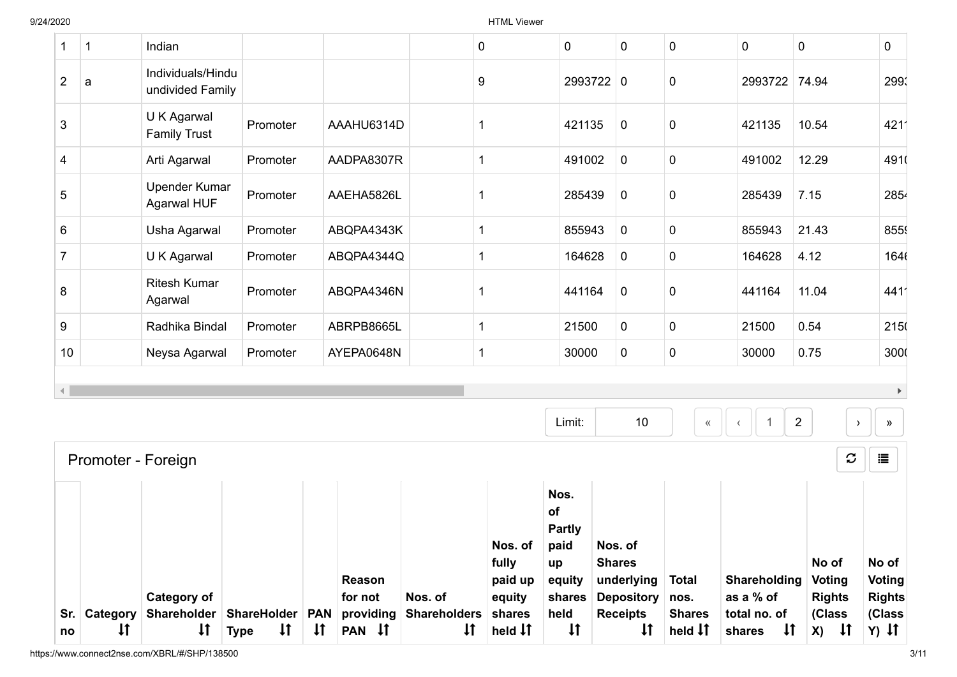|                |              |                                       |          |            |             | Nos. of | Nos.<br>of<br><b>Partly</b><br>paid | Nos. of     |                  |               |                                 |                                        |
|----------------|--------------|---------------------------------------|----------|------------|-------------|---------|-------------------------------------|-------------|------------------|---------------|---------------------------------|----------------------------------------|
|                |              | Promoter - Foreign                    |          |            |             |         |                                     |             |                  |               | $\boldsymbol{\mathcal{C}}$      | 這                                      |
|                |              |                                       |          |            |             |         | Limit:                              | 10          | $\langle\langle$ |               | $\overline{2}$<br>$\rightarrow$ | $\blacktriangleright$<br>$\rightarrow$ |
| 10             |              | Neysa Agarwal                         | Promoter | AYEPA0648N | 1           |         | 30000                               | $\mathbf 0$ | $\pmb{0}$        | 30000         | 0.75                            | 3000                                   |
| 9              |              | Radhika Bindal                        | Promoter | ABRPB8665L | 1           |         | 21500                               | $\mathbf 0$ | $\mathbf 0$      | 21500         | 0.54                            | 215                                    |
| 8              |              | <b>Ritesh Kumar</b><br>Agarwal        | Promoter | ABQPA4346N | -1          |         | 441164                              | $\mathbf 0$ | $\pmb{0}$        | 441164        | 11.04                           | 4411                                   |
| $\overline{7}$ |              | U K Agarwal                           | Promoter | ABQPA4344Q | 1           |         | 164628                              | $\mathbf 0$ | $\pmb{0}$        | 164628        | 4.12                            | 1646                                   |
| 6              |              | Usha Agarwal                          | Promoter | ABQPA4343K | 1           |         | 855943                              | $\mathbf 0$ | $\pmb{0}$        | 855943        | 21.43                           | 855                                    |
| 5              |              | <b>Upender Kumar</b><br>Agarwal HUF   | Promoter | AAEHA5826L |             |         | 285439                              | $\mathbf 0$ | $\pmb{0}$        | 285439        | 7.15                            | 2854                                   |
| 4              |              | Arti Agarwal                          | Promoter | AADPA8307R | $\mathbf 1$ |         | 491002                              | $\mathbf 0$ | $\pmb{0}$        | 491002        | 12.29                           | 4910                                   |
| 3              |              | U K Agarwal<br><b>Family Trust</b>    | Promoter | AAAHU6314D | -1          |         | 421135                              | $\mathbf 0$ | 0                | 421135        | 10.54                           | 4211                                   |
| $\overline{c}$ | a            | Individuals/Hindu<br>undivided Family |          |            | 9           |         |                                     | 2993722 0   | 0                | 2993722 74.94 |                                 | 299                                    |
| $\mathbf 1$    | $\mathbf{1}$ | Indian                                |          |            | 0           |         | $\mathbf 0$                         | $\pmb{0}$   | $\pmb{0}$        | $\mathbf 0$   | $\mathbf 0$                     | 0                                      |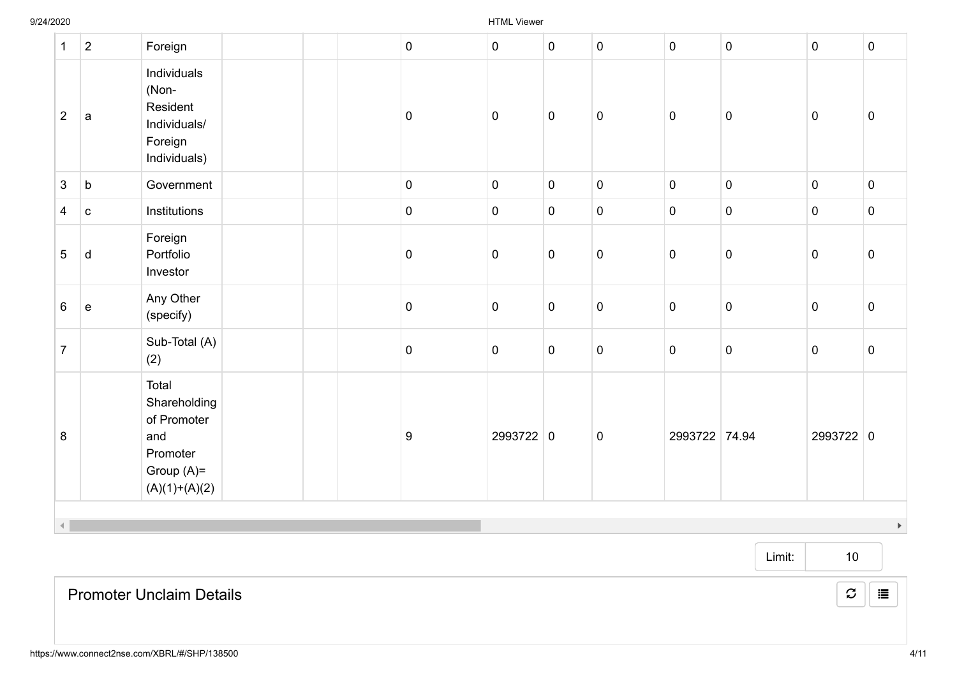| $\mathbf{1}$   | $\overline{2}$ | Foreign                                                                                    | $\mathbf 0$         | $\overline{0}$ | $\mathbf 0$ | $\pmb{0}$   | $\mathbf 0$    | $\pmb{0}$   | $\pmb{0}$   | $\overline{0}$        |
|----------------|----------------|--------------------------------------------------------------------------------------------|---------------------|----------------|-------------|-------------|----------------|-------------|-------------|-----------------------|
| $\overline{2}$ | a              | Individuals<br>(Non-<br>Resident<br>Individuals/<br>Foreign<br>Individuals)                | $\pmb{0}$           | $\overline{0}$ | $\pmb{0}$   | $\pmb{0}$   | $\mathsf 0$    | $\pmb{0}$   | $\pmb{0}$   | $\overline{0}$        |
| $\mathbf{3}$   | $\mathsf b$    | Government                                                                                 | $\overline{0}$      | $\overline{0}$ | $\pmb{0}$   | $\pmb{0}$   | $\mathbf 0$    | $\pmb{0}$   | $\pmb{0}$   | $\overline{0}$        |
| $\overline{4}$ | $\mathbf c$    | Institutions                                                                               | $\mathbf 0$         | $\overline{0}$ | $\pmb{0}$   | $\pmb{0}$   | $\overline{0}$ | $\pmb{0}$   | $\pmb{0}$   | $\overline{0}$        |
| 5              | d              | Foreign<br>Portfolio<br>Investor                                                           | $\pmb{0}$           | $\pmb{0}$      | $\pmb{0}$   | $\pmb{0}$   | $\mathbf 0$    | $\mathbf 0$ | $\pmb{0}$   | $\overline{0}$        |
| $6\phantom{a}$ | e              | Any Other<br>(specify)                                                                     | $\mathsf{O}\xspace$ | $\overline{0}$ | $\pmb{0}$   | $\pmb{0}$   | $\mathbf 0$    | $\pmb{0}$   | $\pmb{0}$   | $\overline{0}$        |
| $\overline{7}$ |                | Sub-Total (A)<br>(2)                                                                       | $\pmb{0}$           | $\overline{0}$ | $\pmb{0}$   | $\pmb{0}$   | $\mathsf 0$    | $\pmb{0}$   | $\mathbf 0$ | $\overline{0}$        |
| 8              |                | Total<br>Shareholding<br>of Promoter<br>and<br>Promoter<br>Group $(A)=$<br>$(A)(1)+(A)(2)$ | $\boldsymbol{9}$    | 2993722 0      |             | $\mathbf 0$ | 2993722 74.94  |             | 2993722 0   |                       |
|                |                |                                                                                            |                     |                |             |             |                |             |             | $\blacktriangleright$ |

Promoter Unclaim Details

 $\mathcal{C} \parallel \mathbf{E}$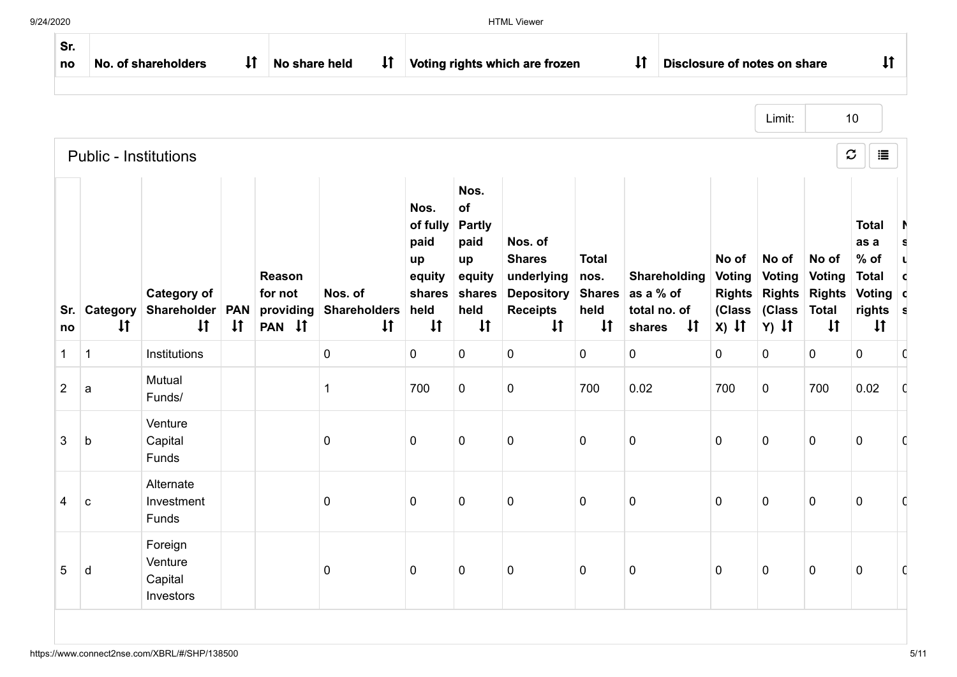| Sr.<br>no      |                              | No. of shareholders                               | $\pmb{\downarrow}$         | No share held                            | $\downarrow$                                   |                                                                            |                                                                                       | Voting rights which are frozen                                                                 |                                              | $\downarrow$<br>Disclosure of notes on share                               |                                                              |                                                              |                                                                         | $\downarrow$                                                                           |
|----------------|------------------------------|---------------------------------------------------|----------------------------|------------------------------------------|------------------------------------------------|----------------------------------------------------------------------------|---------------------------------------------------------------------------------------|------------------------------------------------------------------------------------------------|----------------------------------------------|----------------------------------------------------------------------------|--------------------------------------------------------------|--------------------------------------------------------------|-------------------------------------------------------------------------|----------------------------------------------------------------------------------------|
|                |                              |                                                   |                            |                                          |                                                |                                                                            |                                                                                       |                                                                                                |                                              |                                                                            |                                                              | Limit:                                                       |                                                                         | 10                                                                                     |
|                | <b>Public - Institutions</b> |                                                   |                            |                                          |                                                |                                                                            |                                                                                       |                                                                                                |                                              |                                                                            |                                                              |                                                              |                                                                         | $\mathcal{C}$<br>這                                                                     |
| Sr.<br>no      | Category<br>$\downarrow$     | <b>Category of</b><br>Shareholder<br>$\downarrow$ | <b>PAN</b><br>$\downarrow$ | Reason<br>for not<br>providing<br>PAN IT | Nos. of<br><b>Shareholders</b><br>$\downarrow$ | Nos.<br>of fully<br>paid<br>up<br>equity<br>shares<br>held<br>$\downarrow$ | Nos.<br>of<br><b>Partly</b><br>paid<br>up<br>equity<br>shares<br>held<br>$\downarrow$ | Nos. of<br><b>Shares</b><br>underlying<br><b>Depository</b><br><b>Receipts</b><br>$\downarrow$ | <b>Total</b><br>nos.<br>held<br>$\downarrow$ | Shareholding<br>Shares as a % of<br>total no. of<br>$\downarrow$<br>shares | No of<br><b>Voting</b><br><b>Rights</b><br>(Class<br>$X)$ It | No of<br><b>Voting</b><br><b>Rights</b><br>(Class<br>$Y)$ It | No of<br><b>Voting</b><br><b>Rights</b><br><b>Total</b><br>$\downarrow$ | <b>Total</b><br>as a<br>$%$ of<br><b>Total</b><br>Voting c<br>rights s<br>$\downarrow$ |
| 1              | $\mathbf{1}$                 | Institutions                                      |                            |                                          | 0                                              | $\mathbf 0$                                                                | $\mathbf 0$                                                                           | $\mathbf 0$                                                                                    | $\mathbf 0$                                  | $\mathbf 0$                                                                | $\mathbf 0$                                                  | $\mathbf 0$                                                  | 0                                                                       | $\mathbf 0$                                                                            |
| $\overline{2}$ | a                            | Mutual<br>Funds/                                  |                            |                                          | 1                                              | 700                                                                        | $\mathbf 0$                                                                           | $\mathbf 0$                                                                                    | 700                                          | 0.02                                                                       | 700                                                          | $\mathbf 0$                                                  | 700                                                                     | 0.02                                                                                   |
| 3              | b                            | Venture<br>Capital<br>Funds                       |                            |                                          | 0                                              | $\mathbf 0$                                                                | $\mathbf 0$                                                                           | $\mathbf 0$                                                                                    | $\pmb{0}$                                    | $\pmb{0}$                                                                  | $\mathbf 0$                                                  | $\pmb{0}$                                                    | $\pmb{0}$                                                               | $\pmb{0}$                                                                              |
| 4              | $\mathbf{C}$                 | Alternate<br>Investment<br>Funds                  |                            |                                          | 0                                              | $\mathbf 0$                                                                | $\mathbf 0$                                                                           | $\mathbf 0$                                                                                    | $\pmb{0}$                                    | $\mathbf 0$                                                                | $\pmb{0}$                                                    | $\pmb{0}$                                                    | $\pmb{0}$                                                               | $\pmb{0}$                                                                              |
| 5              | d                            | Foreign<br>Venture<br>Capital<br>Investors        |                            |                                          | 0                                              | $\mathbf 0$                                                                | 0                                                                                     | $\pmb{0}$                                                                                      | 0                                            | $\mathbf 0$                                                                | 0                                                            | $\mathbf 0$                                                  | $\pmb{0}$                                                               | $\mathbf 0$                                                                            |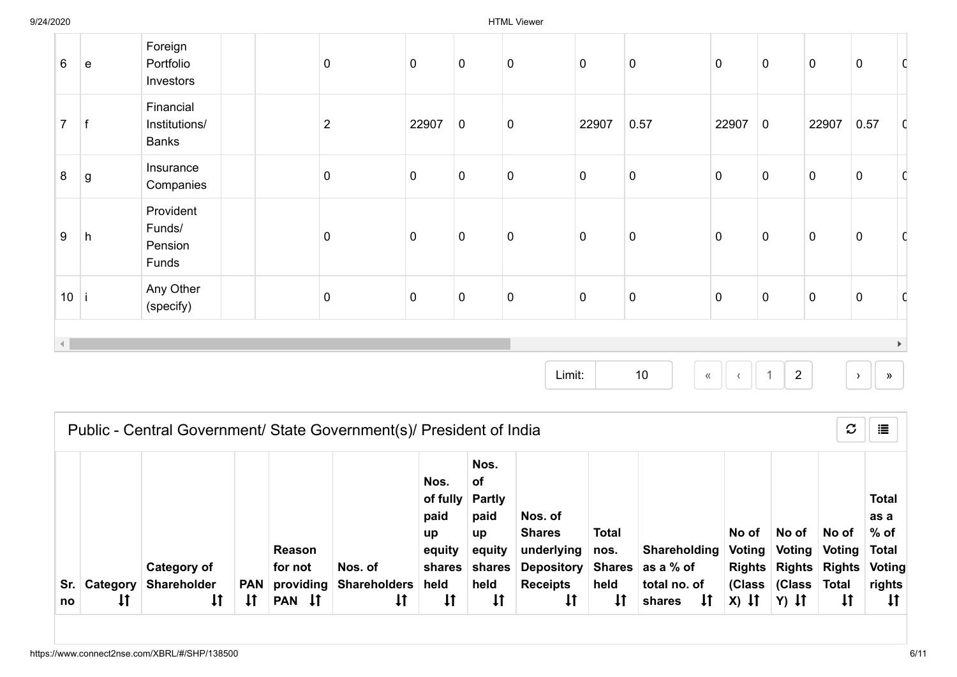| $6\phantom{1}$ | $\mathbf e$ | Foreign<br>Portfolio<br>Investors          | $\mathbf 0$    | $\mathsf 0$ | $\pmb{0}$   | $\pmb{0}$   | $\overline{0}$ | $\pmb{0}$   | $\mathbf 0$    | $\pmb{0}$   | $\pmb{0}$   | $\overline{0}$   | C                     |
|----------------|-------------|--------------------------------------------|----------------|-------------|-------------|-------------|----------------|-------------|----------------|-------------|-------------|------------------|-----------------------|
| $\overline{7}$ |             | Financial<br>Institutions/<br><b>Banks</b> | $\overline{2}$ | 22907       | $\mathbf 0$ | $\mathbf 0$ | 22907          | 0.57        | 22907          | $\mathbf 0$ | 22907       | 0.57             | $\mathsf{C}$          |
| 8              | $\mathsf g$ | Insurance<br>Companies                     | $\pmb{0}$      | $\pmb{0}$   | $\pmb{0}$   | $\pmb{0}$   | $\pmb{0}$      | $\pmb{0}$   | $\overline{0}$ | $\pmb{0}$   | $\pmb{0}$   | $\boldsymbol{0}$ |                       |
| 9              | h           | Provident<br>Funds/<br>Pension<br>Funds    | $\mathbf 0$    | $\pmb{0}$   | $\pmb{0}$   | $\pmb{0}$   | $\mathbf 0$    | $\pmb{0}$   | $\mathbf 0$    | $\pmb{0}$   | $\pmb{0}$   | $\overline{0}$   |                       |
| 10             |             | Any Other<br>(specify)                     | $\overline{0}$ | $\pmb{0}$   | $\pmb{0}$   | $\pmb{0}$   | $\overline{0}$ | $\mathbf 0$ | $\overline{0}$ | $\pmb{0}$   | $\mathbf 0$ | $\overline{0}$   | C                     |
| $\left($       |             |                                            |                |             |             |             |                |             |                |             |             |                  | $\blacktriangleright$ |

| $10 \,$ |  | $\sqrt{1}$ 1 | - 2 |  |  |
|---------|--|--------------|-----|--|--|

|    | $\mathbf{C}$<br>這<br>Public - Central Government/ State Government(s)/ President of India |                                                  |                  |                                                              |                                                      |                                                                            |                                                                                     |                                                                                                |                                                    |                                                                                     |                            |                                                                            |                                        |                                                                 |  |
|----|-------------------------------------------------------------------------------------------|--------------------------------------------------|------------------|--------------------------------------------------------------|------------------------------------------------------|----------------------------------------------------------------------------|-------------------------------------------------------------------------------------|------------------------------------------------------------------------------------------------|----------------------------------------------------|-------------------------------------------------------------------------------------|----------------------------|----------------------------------------------------------------------------|----------------------------------------|-----------------------------------------------------------------|--|
| no | Sr.   Category                                                                            | Category of<br>Shareholder<br>$\pmb{\downarrow}$ | <b>PAN</b><br>1ţ | Reason<br>for not<br>providing<br>$\downarrow$<br><b>PAN</b> | Nos. of<br><b>Shareholders</b><br>$\pmb{\downarrow}$ | Nos.<br>of fully<br>paid<br>up<br>equity<br>shares<br>held<br>$\downarrow$ | Nos.<br>оf<br><b>Partly</b><br>paid<br>up<br>equity<br>shares<br>held<br>$\ddagger$ | Nos. of<br><b>Shares</b><br>underlying<br><b>Depository</b><br><b>Receipts</b><br>$\downarrow$ | <b>Total</b><br>nos.<br>held<br>$\pmb{\downarrow}$ | <b>Shareholding</b><br>Shares ∣ as a % of<br>total no. of<br>$\downarrow$<br>shares | No of<br>Voting<br>$X)$ If | No of<br>Voting<br>Rights Rights Rights Voting<br>(Class (Class<br>$Y)$ It | No of<br>Voting<br>Total<br>$\ddagger$ | <b>Total</b><br>as a<br>$%$ of<br>Total<br>rights<br>$\ddagger$ |  |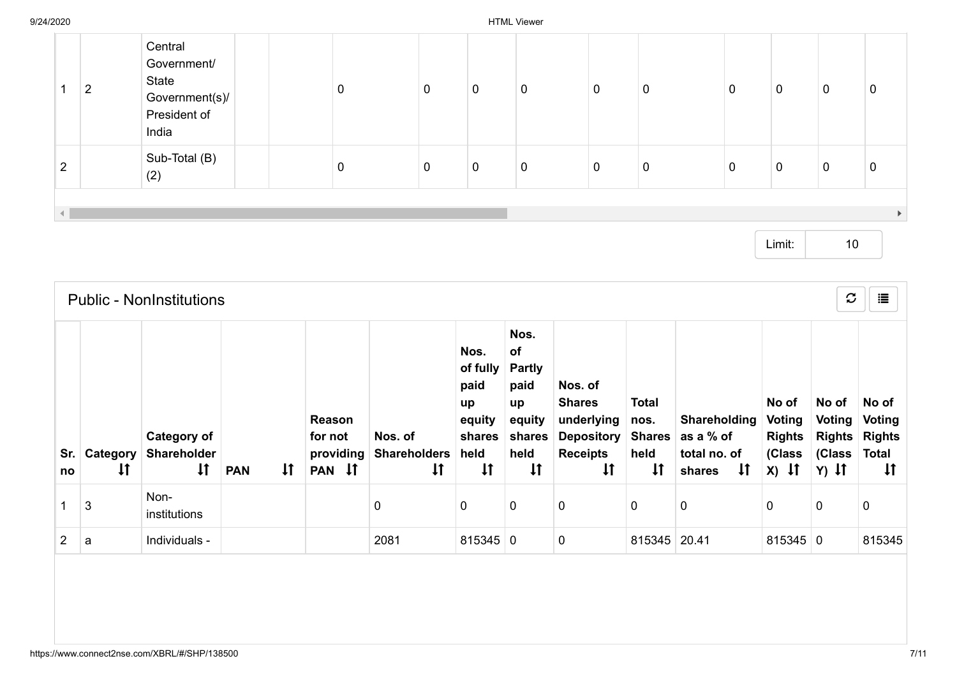|                | ົ<br>∠ | Central<br>Government/<br>State<br>Government(s)/<br>President of<br>India | 0 | 0 | 0 | 0 | 0 | $\mathbf 0$ | 0           | 0           | 0 |  |
|----------------|--------|----------------------------------------------------------------------------|---|---|---|---|---|-------------|-------------|-------------|---|--|
| $\overline{2}$ |        | Sub-Total (B)<br>(2)                                                       | 0 | 0 | 0 | 0 | 0 | $\mathbf 0$ | $\mathbf 0$ | $\mathbf 0$ | 0 |  |
|                |        |                                                                            |   |   |   |   |   |             |             |             |   |  |
|                |        |                                                                            |   |   |   |   |   |             |             |             |   |  |

|                | $\boldsymbol{c}$<br>這<br><b>Public - NonInstitutions</b> |                                                          |                            |                                          |                                                |                                                                            |                                                                                       |                                                                                                      |                                                               |                                                                     |                                                       |                                                       |                                                                  |  |  |
|----------------|----------------------------------------------------------|----------------------------------------------------------|----------------------------|------------------------------------------|------------------------------------------------|----------------------------------------------------------------------------|---------------------------------------------------------------------------------------|------------------------------------------------------------------------------------------------------|---------------------------------------------------------------|---------------------------------------------------------------------|-------------------------------------------------------|-------------------------------------------------------|------------------------------------------------------------------|--|--|
| no             | Sr. Category<br>$\downarrow$                             | <b>Category of</b><br><b>Shareholder</b><br>$\downarrow$ | $\downarrow$<br><b>PAN</b> | Reason<br>for not<br>providing<br>PAN IT | Nos. of<br><b>Shareholders</b><br>$\downarrow$ | Nos.<br>of fully<br>paid<br>up<br>equity<br>shares<br>held<br>$\downarrow$ | Nos.<br>of<br><b>Partly</b><br>paid<br>up<br>equity<br>shares<br>held<br>$\downarrow$ | Nos. of<br><b>Shares</b><br>underlying<br><b>Depository</b><br><b>Receipts</b><br>$\pmb{\downarrow}$ | <b>Total</b><br>nos.<br><b>Shares</b><br>held<br>$\downarrow$ | Shareholding<br>as a % of<br>total no. of<br>$\mathsf{H}$<br>shares | No of<br>Voting<br><b>Rights</b><br>(Class<br>$x)$ It | No of<br>Voting<br><b>Rights</b><br>(Class<br>$Y)$ It | No of<br>Voting<br><b>Rights</b><br><b>Total</b><br>$\downarrow$ |  |  |
|                | 3                                                        | Non-<br>institutions                                     |                            |                                          | 0                                              | 0                                                                          | 0                                                                                     | $\mathbf 0$                                                                                          | 0                                                             | 0                                                                   | 0                                                     | 0                                                     | 0                                                                |  |  |
| $\overline{2}$ | a                                                        | Individuals -                                            |                            |                                          | 2081                                           | $815345$ 0                                                                 |                                                                                       | $\pmb{0}$                                                                                            | 815345 20.41                                                  |                                                                     | $815345$ 0                                            |                                                       | 815345                                                           |  |  |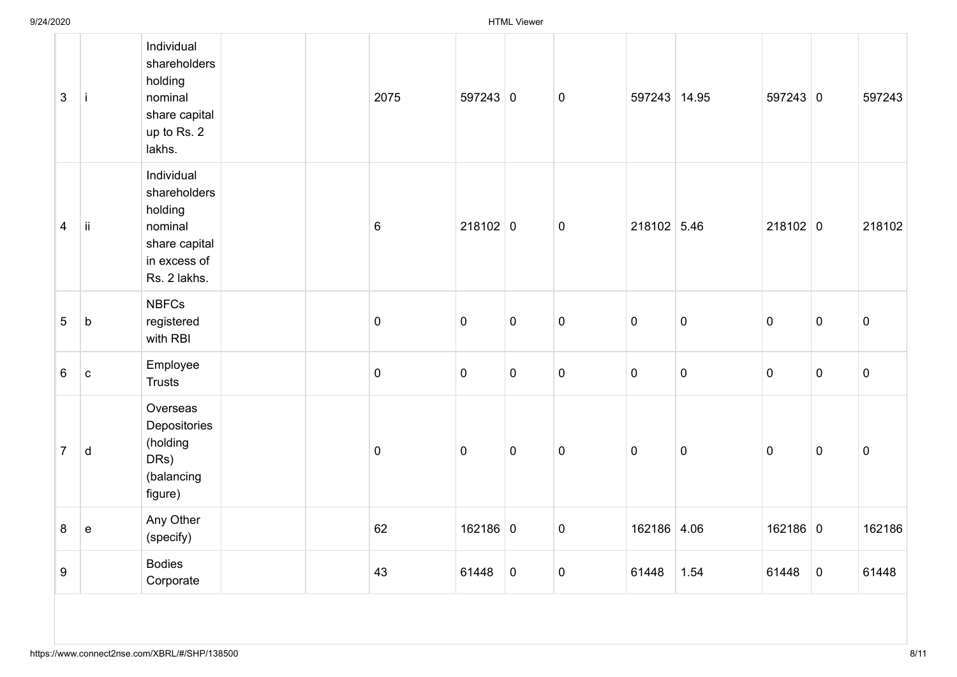| $\mathfrak{S}$   | j.                                         | Individual<br>shareholders<br>holding<br>nominal<br>share capital<br>up to Rs. 2<br>lakhs.        | 2075            | $597243$ 0  |             | $\pmb{0}$   | 597243 14.95 |           | $597243$ 0  |             | 597243    |
|------------------|--------------------------------------------|---------------------------------------------------------------------------------------------------|-----------------|-------------|-------------|-------------|--------------|-----------|-------------|-------------|-----------|
| $\overline{4}$   | ij                                         | Individual<br>shareholders<br>holding<br>nominal<br>share capital<br>in excess of<br>Rs. 2 lakhs. | $6\phantom{.}6$ | $218102$ 0  |             | $\mathbf 0$ | 218102 5.46  |           | $218102$ 0  |             | 218102    |
| $\sqrt{5}$       | $\sf b$                                    | <b>NBFCs</b><br>registered<br>with RBI                                                            | $\pmb{0}$       | $\mathbf 0$ | $\pmb{0}$   | $\pmb{0}$   | $\pmb{0}$    | $\pmb{0}$ | $\mathbf 0$ | $\mathbf 0$ | $\pmb{0}$ |
| $6\phantom{1}$   | $\mathbf{C}$                               | Employee<br><b>Trusts</b>                                                                         | $\pmb{0}$       | $\mathbf 0$ | $\pmb{0}$   | $\mathbf 0$ | $\pmb{0}$    | $\pmb{0}$ | $\mathbf 0$ | $\mathbf 0$ | $\pmb{0}$ |
| $\overline{7}$   | $\sf d$                                    | Overseas<br>Depositories<br>(holding<br>DRs)<br>(balancing<br>figure)                             | $\mathbf 0$     | $\mathbf 0$ | $\mathbf 0$ | $\pmb{0}$   | $\mathbf 0$  | $\pmb{0}$ | $\mathbf 0$ | $\mathbf 0$ | $\pmb{0}$ |
| $\bf 8$          | $\mathsf{e}% _{0}\left( \mathsf{e}\right)$ | Any Other<br>(specify)                                                                            | 62              | 162186 0    |             | $\pmb{0}$   | 162186 4.06  |           | $162186$ 0  |             | 162186    |
| $\boldsymbol{9}$ |                                            | <b>Bodies</b><br>Corporate                                                                        | 43              | 61448       | $\pmb{0}$   | $\mathbf 0$ | 61448        | 1.54      | 61448       | $\mathbf 0$ | 61448     |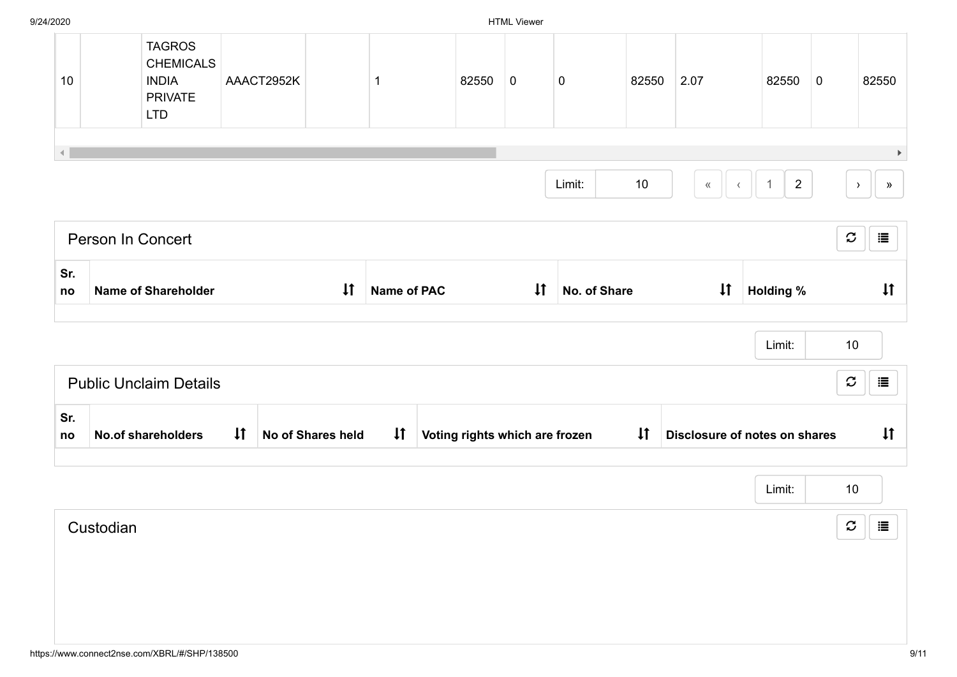| 10 | <b>TAGROS</b><br><b>CHEMICALS</b><br><b>INDIA</b><br><b>PRIVATE</b><br><b>LTD</b> | AAACT2952K |  | 82550 | 0 | 0      | 82550 | 2.07 | 82550 | 0 | 82550 |
|----|-----------------------------------------------------------------------------------|------------|--|-------|---|--------|-------|------|-------|---|-------|
|    |                                                                                   |            |  |       |   | Limit: | 10    | ≪    | 2     |   | ≫     |

|           | Person In Concert             |              |                          |                    |                                |              |              |              |                               | $\mathcal{C}$ | 這            |
|-----------|-------------------------------|--------------|--------------------------|--------------------|--------------------------------|--------------|--------------|--------------|-------------------------------|---------------|--------------|
| Sr.<br>no | Name of Shareholder           |              | $\downarrow$             | <b>Name of PAC</b> |                                | $\downarrow$ | No. of Share | $\downarrow$ | <b>Holding %</b>              |               | $\downarrow$ |
|           |                               |              |                          |                    |                                |              |              |              | Limit:                        | 10            |              |
|           | <b>Public Unclaim Details</b> |              |                          |                    |                                |              |              |              |                               | $\mathcal{C}$ | 這            |
| Sr.<br>no | <b>No.of shareholders</b>     | $\downarrow$ | <b>No of Shares held</b> | $\downarrow$ t     | Voting rights which are frozen |              |              |              | Disclosure of notes on shares |               | $\downarrow$ |

|           | Limit: | 10                 |
|-----------|--------|--------------------|
| Custodian |        | $\mathcal{C}$<br>這 |
|           |        |                    |
|           |        |                    |
|           |        |                    |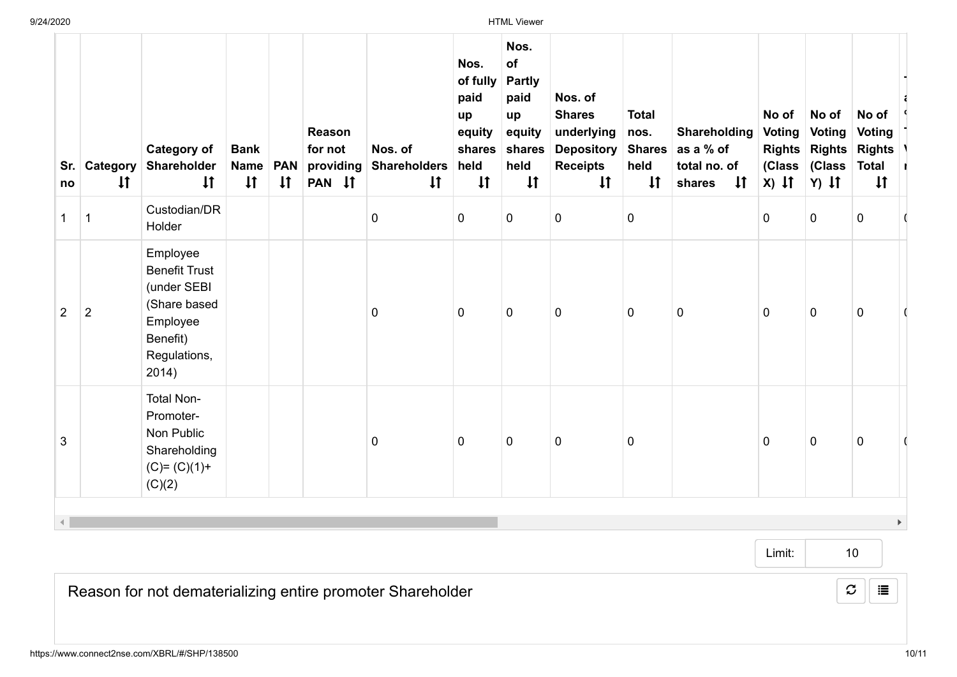| Sr.<br>no      | Category<br>$\downarrow$ | <b>Category of</b><br>Shareholder<br>$\downarrow$                                                                | <b>Bank</b><br><b>Name</b><br>$\downarrow$ | <b>PAN</b><br>$\downarrow$ | Reason<br>for not<br>providing<br>PAN IT | Nos. of<br><b>Shareholders</b><br>$\downarrow$ | Nos.<br>of fully<br>paid<br>up<br>equity<br>shares<br>held<br>$\downarrow$ | Nos.<br>of<br><b>Partly</b><br>paid<br>up<br>equity<br>shares<br>held<br>$\downarrow$ | Nos. of<br><b>Shares</b><br>underlying<br><b>Depository</b><br><b>Receipts</b><br>$\downarrow$ | <b>Total</b><br>nos.<br><b>Shares</b><br>held<br>$\downarrow$ | Shareholding<br>as a % of<br>total no. of<br>$\downarrow$<br>shares | No of<br><b>Voting</b><br>$x)$ if | No of<br><b>Voting</b><br>(Class (Class<br>$Y)$ It | No of<br><b>Voting</b><br>Rights Rights Rights<br>Total I<br>$\downarrow$ |  |
|----------------|--------------------------|------------------------------------------------------------------------------------------------------------------|--------------------------------------------|----------------------------|------------------------------------------|------------------------------------------------|----------------------------------------------------------------------------|---------------------------------------------------------------------------------------|------------------------------------------------------------------------------------------------|---------------------------------------------------------------|---------------------------------------------------------------------|-----------------------------------|----------------------------------------------------|---------------------------------------------------------------------------|--|
| 1              | 1                        | Custodian/DR<br>Holder                                                                                           |                                            |                            |                                          | $\pmb{0}$                                      | $\mathbf 0$                                                                | 0                                                                                     | 0                                                                                              | $\mathbf 0$                                                   |                                                                     | $\mathbf 0$                       | 0                                                  | $\mathbf 0$                                                               |  |
| $\overline{2}$ | $\overline{2}$           | Employee<br><b>Benefit Trust</b><br>(under SEBI<br>(Share based<br>Employee<br>Benefit)<br>Regulations,<br>2014) |                                            |                            |                                          | $\pmb{0}$                                      | $\mathbf 0$                                                                | 0                                                                                     | 0                                                                                              | $\mathbf 0$                                                   | $\mathbf 0$                                                         | $\mathbf 0$                       | $\mathbf 0$                                        | 0                                                                         |  |
| 3              |                          | <b>Total Non-</b><br>Promoter-<br>Non Public<br>Shareholding<br>$(C)= (C)(1)+$<br>(C)(2)                         |                                            |                            |                                          | $\mathbf 0$                                    | $\mathbf 0$                                                                | $\mathbf 0$                                                                           | 0                                                                                              | $\mathbf 0$                                                   |                                                                     | $\mathbf 0$                       | $\pmb{0}$                                          | $\mathbf 0$                                                               |  |
|                |                          |                                                                                                                  |                                            |                            |                                          |                                                |                                                                            |                                                                                       |                                                                                                |                                                               |                                                                     |                                   |                                                    |                                                                           |  |

10

 $\mathcal{Z}$   $\parallel$   $\equiv$ 

Reason for not dematerializing entire promoter Shareholder

T a. % T V r